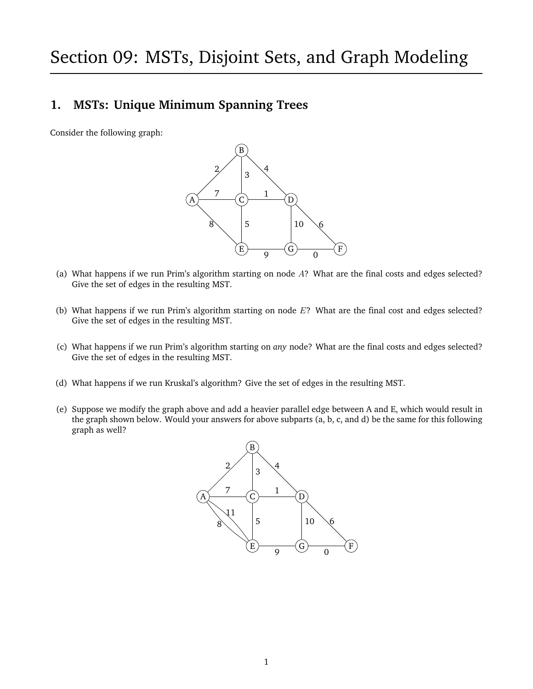# **1. MSTs: Unique Minimum Spanning Trees**

Consider the following graph:



- (a) What happens if we run Prim's algorithm starting on node A? What are the final costs and edges selected? Give the set of edges in the resulting MST.
- (b) What happens if we run Prim's algorithm starting on node E? What are the final cost and edges selected? Give the set of edges in the resulting MST.
- (c) What happens if we run Prim's algorithm starting on *any* node? What are the final costs and edges selected? Give the set of edges in the resulting MST.
- (d) What happens if we run Kruskal's algorithm? Give the set of edges in the resulting MST.
- (e) Suppose we modify the graph above and add a heavier parallel edge between A and E, which would result in the graph shown below. Would your answers for above subparts (a, b, c, and d) be the same for this following graph as well?

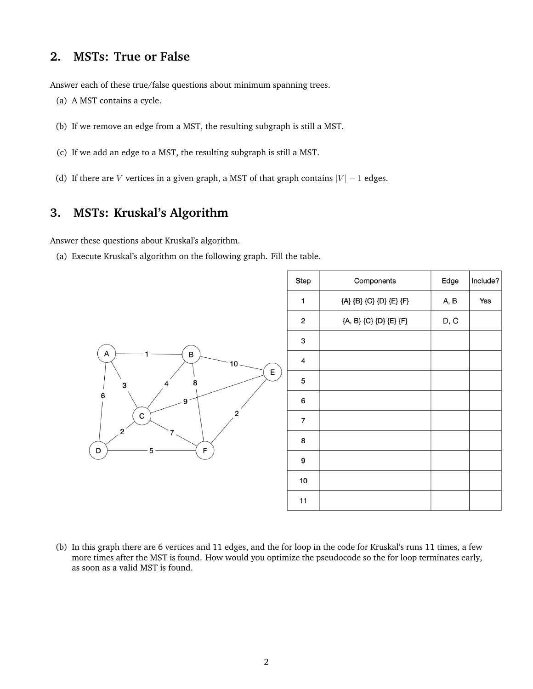#### **2. MSTs: True or False**

Answer each of these true/false questions about minimum spanning trees.

- (a) A MST contains a cycle.
- (b) If we remove an edge from a MST, the resulting subgraph is still a MST.
- (c) If we add an edge to a MST, the resulting subgraph is still a MST.
- (d) If there are V vertices in a given graph, a MST of that graph contains  $|V| 1$  edges.

# **3. MSTs: Kruskal's Algorithm**

Answer these questions about Kruskal's algorithm.

(a) Execute Kruskal's algorithm on the following graph. Fill the table.



(b) In this graph there are 6 vertices and 11 edges, and the for loop in the code for Kruskal's runs 11 times, a few more times after the MST is found. How would you optimize the pseudocode so the for loop terminates early, as soon as a valid MST is found.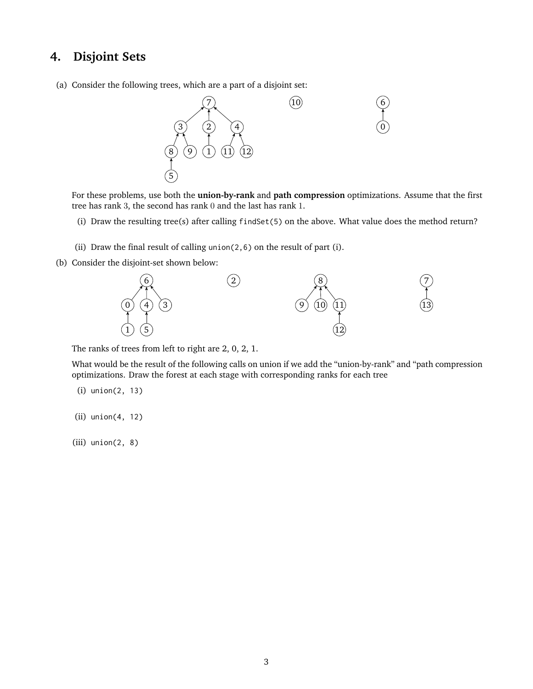#### **4. Disjoint Sets**

(a) Consider the following trees, which are a part of a disjoint set:



For these problems, use both the **union-by-rank** and **path compression** optimizations. Assume that the first tree has rank 3, the second has rank 0 and the last has rank 1.

- (i) Draw the resulting tree(s) after calling findSet(5) on the above. What value does the method return?
- (ii) Draw the final result of calling union(2,6) on the result of part (i).
- (b) Consider the disjoint-set shown below:



The ranks of trees from left to right are 2, 0, 2, 1.

What would be the result of the following calls on union if we add the "union-by-rank" and "path compression optimizations. Draw the forest at each stage with corresponding ranks for each tree

- (i) union(2, 13)
- (ii) union(4, 12)
- (iii) union(2, 8)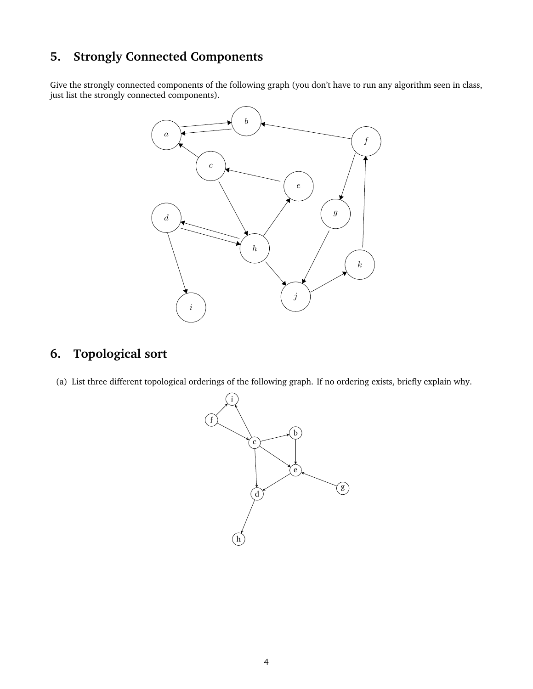# **5. Strongly Connected Components**

Give the strongly connected components of the following graph (you don't have to run any algorithm seen in class, just list the strongly connected components).



# **6. Topological sort**

(a) List three different topological orderings of the following graph. If no ordering exists, briefly explain why.

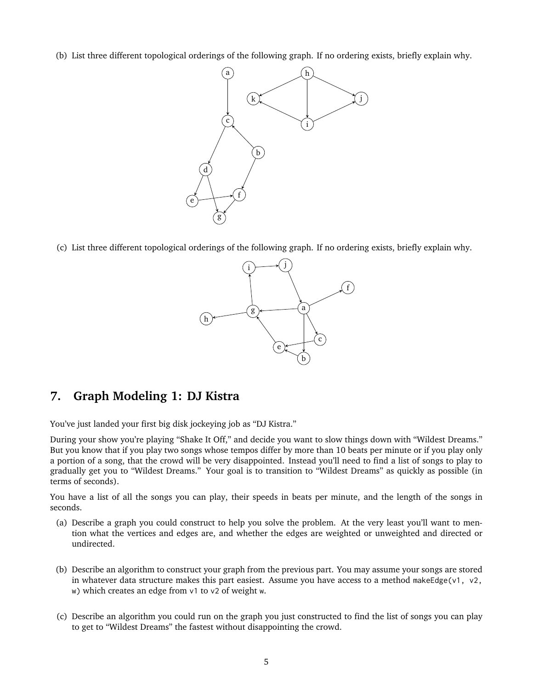(b) List three different topological orderings of the following graph. If no ordering exists, briefly explain why.



(c) List three different topological orderings of the following graph. If no ordering exists, briefly explain why.



# **7. Graph Modeling 1: DJ Kistra**

You've just landed your first big disk jockeying job as "DJ Kistra."

During your show you're playing "Shake It Off," and decide you want to slow things down with "Wildest Dreams." But you know that if you play two songs whose tempos differ by more than 10 beats per minute or if you play only a portion of a song, that the crowd will be very disappointed. Instead you'll need to find a list of songs to play to gradually get you to "Wildest Dreams." Your goal is to transition to "Wildest Dreams" as quickly as possible (in terms of seconds).

You have a list of all the songs you can play, their speeds in beats per minute, and the length of the songs in seconds.

- (a) Describe a graph you could construct to help you solve the problem. At the very least you'll want to mention what the vertices and edges are, and whether the edges are weighted or unweighted and directed or undirected.
- (b) Describe an algorithm to construct your graph from the previous part. You may assume your songs are stored in whatever data structure makes this part easiest. Assume you have access to a method makeEdge(v1,  $v^2$ , w) which creates an edge from v1 to v2 of weight w.
- (c) Describe an algorithm you could run on the graph you just constructed to find the list of songs you can play to get to "Wildest Dreams" the fastest without disappointing the crowd.